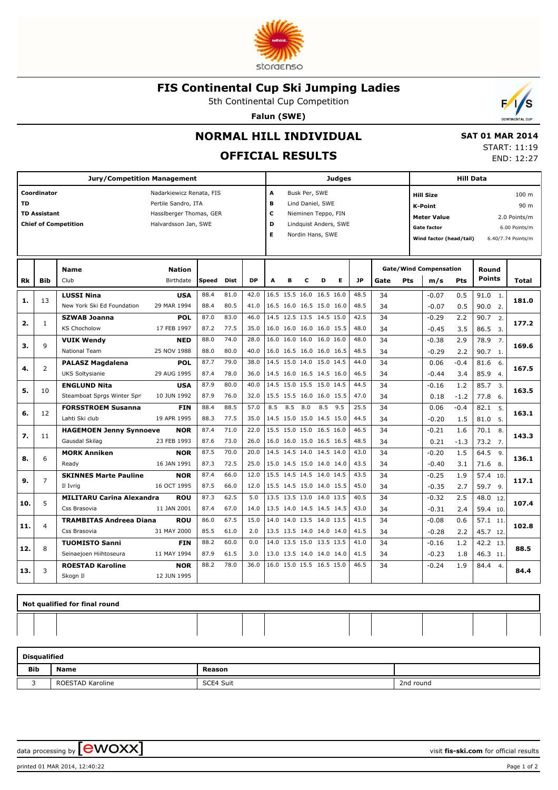

#### **FIS Continental Cup Ski Jumping Ladies**

5th Continental Cup Competition

**Falun (SWE)**



 **SAT 01 MAR 2014** START: 11:19 END: 12:27

## **NORMAL HILL INDIVIDUAL**

## **OFFICIAL RESULTS**

**Jury/Competition Management Coordinator Coordinator Nadarkiewicz Renata, FIS TD** Pertile Sandro, ITA **TD Assistant Hassiberger Thomas, GER Chief of Competition Halvardsson Jan, SWE Judges A** Busk Per, SWE **B** Lind Daniel, SWE **C** Nieminen Teppo, FIN **D** Lindquist Anders, SWE **E** Nordin Hans, SWE **Hill Data K-Point** 90 m **Hill Size** 100 m **Meter Value** 2.0 Points/m Gate factor 6.00 Points/m **Wind factor (head/tail)** 6.40/7.74 Points/m **Bib Name** Club Birthdate **Nation Rk Speed Dist DP A B C D E JP Total Round m/s Pts Points Gate/Wind Compensation Gate Pts LUSSI Nina** New York Ski Ed Foundation **USA** 29 MAR 1994 13 88.4 81.0 42.0 16.5 15.5 16.0 16.5 16.0 48.5 34 -0.07 0.5 91.0 88.4 80.5 41.0 16.5 16.0 16.5 15.0 16.0 48.5 34  $\vert$  -0.07 0.5 90.0 2. 1. **1. 181.0**  $0.5$  0.5 -0.07 -0.07 34 34 **SZWAB Joanna** KS Chocholow **POL** 17 FEB 1997 1 87.0 83.0 46.0 14.5 12.5 13.5 14.5 15.0 42.5 34  $-0.29$  2.2 90.7 87.2 77.5 3.5 16.0 16.0 16.0 16.0 15.5 48.0 34  $-0.45$  3.5 86.5 3. 2. **2. 177.2**  $2.2$  3.5 -0.29 -0.45 34 34 **VUIK Wendy** National Team **NED** 25 NOV 1988 9 88.0 74.0 28.0 16.0 16.0 16.0 16.0 16.0 48.0 34 -0.38 2.9 78.9 88.0 80.0 40.0 16.0 16.5 16.0 16.0 16.5 48.5 34 - 0.29 22 90.7 1 7. **3. 169.6** 2.9  $2.2$  $-0.38$ -0.29 34 34 **PALASZ Magdalena** UKS Soltysianie **POL** 29 AUG 1995 2 87.7 79.0 38.0 14.5 15.0 14.0 15.0 14.5 44.0 34 0.06 -0.4 81.6 87.4 78.0 36.0 14.5 16.0 16.5 14.5 16.0 46.5 34 -0.44 3.4 85.9 4. 6. **4. 167.5**  $-0.4$  3.4 0.06 -0.44 34 34 **ENGLUND Nita** Steamboat Sprgs Winter Spr **USA** 10 JUN 1992 10 87.9 80.0 40.0 14.5 15.0 15.5 15.0 14.5 44.5 34 -0.16 1.2 85.7 87.9 76.0 32.0 15.5 15.5 16.0 16.0 15.5 47.0 34 0.18 -1.2 77.8 6 3. **5. 163.5** 1.2 -1.2  $-0.16$  0.18 34 34 **FORSSTROEM Susanna** Lahti Ski club **FIN** 19 APR 1995 12 88.4 88.5 | 57.0 | 8.5 8.5 8.0 8.5 9.5 | 25.5 |  $34$  |  $0.06$  -0.4 |  $82.1$ 88.3 77.5 35.0 14.5 15.0 15.0 14.5 15.0 44.5 34  $\vert$  -0.20 1.5 81.0 5. 5. **6. 163.1**  $-0.4$  1.5 0.06  $-0.20$  34 34 **HAGEMOEN Jenny Synnoeve** Gausdal Skilag **NOR** 23 FEB 1993 11 87.4 71.0 22.0 15.5 15.0 15.0 16.5 16.0 46.5 70.1 87.6 73.0 26.0 16.0 16.0 15.0 16.5 16.5 48.5 73.2 7. 8. **7. 143.3** 1.6  $-1.3$  $-0.21$  0.21  $\overline{34}$  34 **MORK Anniken** Ready **NOR** 16 JAN 1991 6 87.5 70.0 20.0 14.5 14.5 14.0 14.5 14.0 43.0 34  $-0.20$  1.5 64.5 87.3 72.5 25.0 15.0 14.5 15.0 14.0 14.0 43.5 34  $-0.40$  3.1 71.6 8. 9. **8. 136.1** 1.5 3.1  $-0.20$ -0.40  $\overline{34}$  34 **SKINNES Marte Pauline** Il Ivrig **NOR** 16 OCT 1995 7  $87.4 \quad 66.0 \quad 12.0 \quad 15.5 \quad 14.5 \quad 14.5 \quad 14.0 \quad 14.5 \quad 43.5 \quad 34 \quad \Box$ 87.5 66.0 12.0 15.5 14.5 15.0 14.0 15.5 45.0 59.7 9. 10. **9. 117.1** 1.9 2.7  $-0.25$ -0.35  $\overline{34}$  34 **MILITARU Carina Alexandra** Css Brasovia **ROU** 11 JAN 2001 5 87.3 62.5 5.0 13.5 13.5 13.0 14.0 13.5 40.5 48.0 87.4 67.0 14.0 13.5 14.0 14.5 14.5 14.5  $\begin{array}{|c|c|c|c|c|c|c|c|c|} \hline \end{array}$  59.4 10.6 14.5 14.5 14.5 14.5 14.5 14.5 14.6 159.4 10.  $\overline{12}$ **10. 107.4** 2.5 2.4  $-0.32$ -0.31 34 34 **TRAMBITAS Andreea Diana** Css Brasovia **ROU** 31 MAY 2000 4 86.0 67.5 15.0 14.0 14.0 13.5 14.0 13.5 41.5 85.5 61.0 2.0 13.5 13.5 14.0 14.0 14.0 41.5 45.7 12.  $57.1$  11 **11. 102.8** 0.6  $2.2$  $-0.08$ -0.28  $\overline{34}$  34 **TUOMISTO Sanni** Seinaejoen Hiihtoseura **FIN** 11 MAY 1994 8 88.2 60.0 0.0 14.0 13.5 15.0 13.5 13.5 41.0 34 -0.16 1.2 42.2 87.9 61.5 3.0 13.0 13.5 14.0 14.0 14.0  $\left| 41.5 \right|$  34  $\left| 0.23 \right|$  1.8  $\left| 46.3 \right|$  11.  $\overline{13}$ **12. 88.5** 1.2 1.8  $-0.16$ -0.23  $\overline{34}$  34 **ROESTAD Karoline** Skogn Il **NOR** 12 JUN 1995 3 88.2 78.0 36.0 16.0 15.0 15.5 16.5 15.0 46.5 34  $-0.24$  1.9 84.4 4 **13. 84.4**  $-0.24$ 

| Not qualified for final round |  |  |  |  |  |  |  |  |  |  |  |  |
|-------------------------------|--|--|--|--|--|--|--|--|--|--|--|--|
|                               |  |  |  |  |  |  |  |  |  |  |  |  |

| <b>Disqualified</b> |                  |           |           |  |  |  |  |  |  |  |
|---------------------|------------------|-----------|-----------|--|--|--|--|--|--|--|
| Bib                 | <b>Name</b>      | Reason    |           |  |  |  |  |  |  |  |
| - -                 | ROESTAD Karoline | SCE4 Suit | 2nd round |  |  |  |  |  |  |  |

data processing by  $\boxed{\text{ewOX}}$